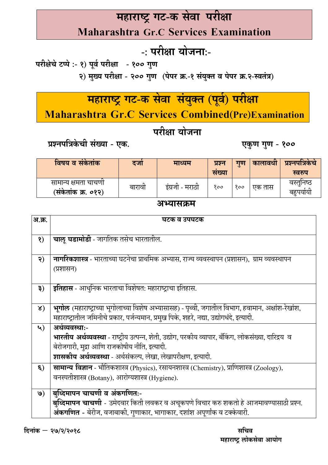# महाराष्ट्र गट-क सेवा परीक्षा

**Maharashtra Gr.C Services Examination** 

## -: परीक्षा योजना:-

परीक्षेचे टप्पे :- १) पूर्व परीक्षा - १०० गुण २) मुख्य परीक्षा - २०० गुण (पेपर क्र.-१ संयुक्त व पेपर क्र.२-स्वतंत्र)

# महाराष्ट्र गट-क सेवा संयुक्त (पूर्व) परीक्षा

Maharashtra Gr.C Services Combined(Pre)Examination

#### परीक्षा योजना

प्रश्नपत्रिकेची संख्या - एक.

विषय व संकेतांक गुण कालावधी प्रश्नपत्रिकेचे दजो प्रश्न माध्यम संख्या स्वरुप वस्तुनिष्ठ सामान्य क्षमता चाचणी इंग्रजी - मराठी बारावी  $800$  $800$ एक तास (संकेतांक क्र. ०१२) बहूपर्यायी

#### अभ्यासक्रम

| अ.क्र.       | घटक व उपघटक                                                                                                 |
|--------------|-------------------------------------------------------------------------------------------------------------|
|              |                                                                                                             |
| $\mathbf{Q}$ | चालू घडामोडी - जागतिक तसेच भारतातील.                                                                        |
|              |                                                                                                             |
| २)           | <b>नागरिकशास्त्र</b> - भारताच्या घटनेचा प्राथमिक अभ्यास, राज्य व्यवस्थापन (प्रशासन),  ग्राम व्यवस्थापन      |
|              | (प्रशासन)                                                                                                   |
|              |                                                                                                             |
| ३)           | इतिहास - आधुनिक भारताचा विशेषत: महाराष्ट्राचा इतिहास.                                                       |
|              |                                                                                                             |
| $\lambda$ )  | <b>भुगोल</b> (महाराष्ट्राच्या भूगोलाच्या विशेष अभ्यासासह) - पृथ्वी, जगातील विभाग, हवामान, अक्षांश-रेखांश,   |
|              | महाराष्ट्रातील जमिनीचे प्रकार, पर्जन्यमान, प्रमुख पिके, शहरे, नद्या, उद्योगधंदे, इत्यादी.                   |
| ५)           | अर्थव्यवस्थाः-                                                                                              |
|              | <b>भारतीय अर्थव्यवस्था</b> - राष्ट्रीय उत्पन्न, शेती, उद्योग, परकीय व्यापार, बँकिंग, लोकसंख्या, दारिद्रय  व |
|              | बेरोजगारी, मुद्रा आणि राजकोषीय नीति, इत्यादी.                                                               |
|              | शासकीय अर्थव्यवस्था - अर्थसंकल्प, लेखा, लेखापरीक्षण, इत्यादी.                                               |
| $\epsilon$ ) | सामान्य विज्ञान - भौतिकशास्त्र (Physics), रसायनशास्त्र (Chemistry), प्राणिशास्त्र (Zoology),                |
|              | वनस्पतीशास्त्र (Botany), आरोग्यशास्त्र (Hygiene).                                                           |
|              |                                                                                                             |
| $\mathbf{Q}$ | बुध्दिमापन चाचणी व अंकगणितः-                                                                                |
|              | <b>बुध्दिमापन चाचणी</b> - उमेदवार किती लवकर व अचूकपणे विचार करु शकतो हे आजमावण्यासाठी प्रश्न.               |
|              | अंकगणित - बेरीज, वजाबाकी, गुणाकार, भागाकार, दशांश अपूर्णांक व टक्केवारी.                                    |

एकुण गुण - १००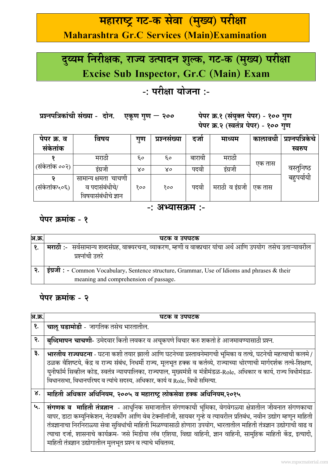## महाराष्ट्र गट-क सेवा (मुख्य) परीक्षा **Maharashtra Gr.C Services (Main)Examination**

# दुय्यम निरीक्षक, राज्य उत्पादन शुल्क, गट-क (मुख्य) परीक्षा **Excise Sub Inspector, Gr.C (Main) Exam**

### -: परीक्षा योजना :-

प्रश्नपत्रिकांची संख्या - दोन. एकूण गुण – २००

पेपर क्र.१ (संयुक्त पेपर) - १०० गुण पेपर क्र.२ (स्वतंत्र पेपर) - १०० गुण

| पंपर क्र. व   | विषय                                  | गुण | प्रश्नसंख्या | दजा    | माध्यम          | कालावधा | प्रश्नपात्रकच |
|---------------|---------------------------------------|-----|--------------|--------|-----------------|---------|---------------|
| संकेतांक      |                                       |     |              |        |                 |         | स्वरुप        |
|               | मराठा                                 | ξo  | ξo           | बारावा | मराठो           | एक तास  |               |
| (सर्कताक ००२) | इंग्रजी                               | ४०  | ४०           | पदवा   | इंग्रजी         |         | वस्तुनिष्ठ    |
|               | सामान्य क्षमता चाचणी                  |     |              |        |                 |         | बहुपयोयी      |
| (संकेतांक५०६) | व पदासंबंधीचे/<br>विषयासंबंधीचे ज्ञान | १०० | १००          | पदवा   | मराठी व इंग्रजी | एक तास  |               |

#### -: अभ्यासक्रम :-

#### पेपर क्रमांक - १

| अ.क्र. | घटक व उपघटक                                                                                                          |
|--------|----------------------------------------------------------------------------------------------------------------------|
|        | <b>मराठी:-</b> सर्वसामान्य शब्दसंग्रह, वाक्यरचना, व्याकरण, म्हणी व वाक्प्रचार यांचा अर्थ आणि उपयोग  तसेच उताऱ्यावरील |
|        | प्रश्नांची उत्तरे                                                                                                    |
|        |                                                                                                                      |
|        | इंग्रजी: - Common Vocabulary, Sentence structure, Grammar, Use of Idioms and phrases & their                         |
|        | meaning and comprehension of passage.                                                                                |

#### पेपर क्रमांक - २

| अ.क्र. | घटक व उपघटक                                                                                                                                                                                                                                                                                                                                                                                                                                                                                                                              |
|--------|------------------------------------------------------------------------------------------------------------------------------------------------------------------------------------------------------------------------------------------------------------------------------------------------------------------------------------------------------------------------------------------------------------------------------------------------------------------------------------------------------------------------------------------|
| १.     | चालू घडामोडी - जागतिक तसेच भारतातील.                                                                                                                                                                                                                                                                                                                                                                                                                                                                                                     |
| २.     | <b>बुध्दिमापन चाचणी</b> - उमेदवार किती लवकर व अचूकपणे विचार करु शकतो हे आजमावण्यासाठी प्रश्न.                                                                                                                                                                                                                                                                                                                                                                                                                                            |
| ३.     | भारतीय राज्यघटना - घटना कशी तयार झाली आणि घटनेच्या प्रस्तावनेमागची भूमिका व तत्वे, घटनेची महत्वाची कलमे /<br>ठळक वैशिष्टये, केंद्र व राज्य संबंध, निधर्मी राज्य, मूलभूत हक्क व कर्तव्ये, राज्याच्या धोरणाची मार्गदर्शक तत्वे-शिक्षण,<br>युनीफॉर्म सिव्हील कोड, स्वतंत्र न्यायपालिका, राज्यपाल, मुख्यमंत्री व मंत्रीमंडळ-Role, अधिकार व कार्य, राज्य विधीमंडळ-<br>विधानसभा, विधानपरिषद व त्यांचे सदस्य, अधिकार, कार्य व Role, विधी समित्या.                                                                                               |
| ४.     | माहिती अधिकार अधिनियम, २००५ व महाराष्ट्र लोकसेवा हक्क अधिनियम,२०१५                                                                                                                                                                                                                                                                                                                                                                                                                                                                       |
| ५.     | संगणक व माहिती तंत्रज्ञान - आधुनिक समाजातील संगणकाची भूमिका, वेगवेगळ्या क्षेत्रातील जीवनात संगणकाचा<br>वापर, डाटा कम्युनिकेशन, नेटवर्कींग आणि वेब टेक्नॉलॉजी, सायबर गुन्हे व त्यावरील प्रतिबंध, नवीन उद्योग म्हणून माहिती<br>तंत्रज्ञानाचा निरनिराळ्या सेवा सुविधांची माहिती मिळण्यासाठी होणारा उपयोग, भारतातील माहिती तंत्रज्ञान उद्योगाची वाढ व<br>त्याचा दर्जा, शासनाचे कार्यक्रम- जसे मिडीया लॅब एशिया, विद्या वाहिनी, ज्ञान वाहिनी, सामुहिक माहिती केंद्र, इत्यादी,<br>माहिती तंत्रज्ञान उद्योगातील मुलभूत प्रश्न व त्याचे भवितव्य. |